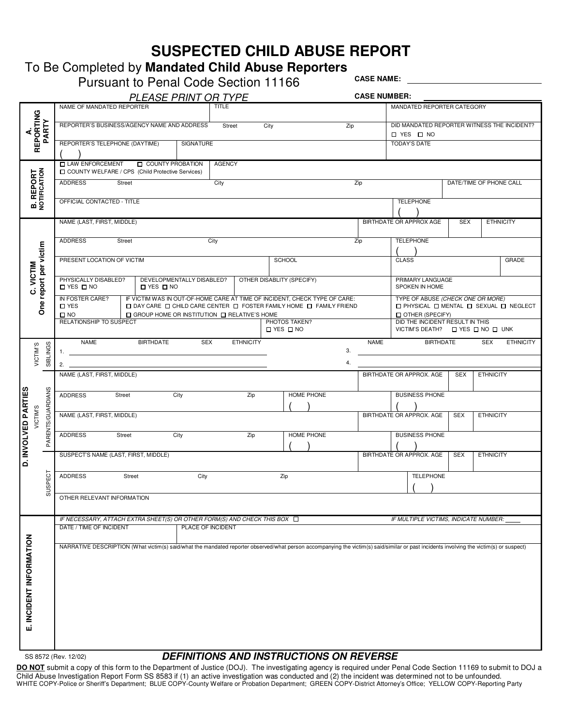## **SUSPECTED CHILD ABUSE REPORT**

# To Be Completed by **Mandated Child Abuse Reporters**

|                                  |                   | <b>Pursuant to Penal Code Section 11166</b>                                                                                                                                                                                                                                                                                                                                                |                             |                           |                  |  |                                       |            |                                                           | <b>CASE NAME:</b>   |                          |                                                                      |                  |                  |
|----------------------------------|-------------------|--------------------------------------------------------------------------------------------------------------------------------------------------------------------------------------------------------------------------------------------------------------------------------------------------------------------------------------------------------------------------------------------|-----------------------------|---------------------------|------------------|--|---------------------------------------|------------|-----------------------------------------------------------|---------------------|--------------------------|----------------------------------------------------------------------|------------------|------------------|
|                                  |                   |                                                                                                                                                                                                                                                                                                                                                                                            | <b>PLEASE PRINT OR TYPE</b> |                           |                  |  |                                       |            |                                                           | <b>CASE NUMBER:</b> |                          |                                                                      |                  |                  |
|                                  |                   | NAME OF MANDATED REPORTER                                                                                                                                                                                                                                                                                                                                                                  |                             | <b>TITLE</b>              |                  |  |                                       |            | MANDATED REPORTER CATEGORY                                |                     |                          |                                                                      |                  |                  |
| REPORTING<br>∢                   | PARTY             | REPORTER'S BUSINESS/AGENCY NAME AND ADDRESS                                                                                                                                                                                                                                                                                                                                                | Street                      | City<br>Zip               |                  |  |                                       |            | DID MANDATED REPORTER WITNESS THE INCIDENT?<br>□ YES □ NO |                     |                          |                                                                      |                  |                  |
|                                  |                   | REPORTER'S TELEPHONE (DAYTIME)                                                                                                                                                                                                                                                                                                                                                             |                             | SIGNATURE                 |                  |  |                                       |            |                                                           |                     | <b>TODAY'S DATE</b>      |                                                                      |                  |                  |
|                                  |                   | $\Box$ LAW ENFORCEMENT $\Box$ COUNTY PROBATION<br><b>OUNTY WELFARE / CPS (Child Protective Services)</b>                                                                                                                                                                                                                                                                                   |                             |                           | <b>AGENCY</b>    |  |                                       |            |                                                           |                     |                          |                                                                      |                  |                  |
| <b>B. REPORT</b><br>NOTIFICATION |                   | <b>ADDRESS</b><br>Street                                                                                                                                                                                                                                                                                                                                                                   |                             | City                      |                  |  |                                       |            | Zip                                                       |                     | DATE/TIME OF PHONE CALL  |                                                                      |                  |                  |
|                                  |                   | OFFICIAL CONTACTED - TITLE                                                                                                                                                                                                                                                                                                                                                                 |                             |                           |                  |  |                                       |            |                                                           | <b>TELEPHONE</b>    |                          |                                                                      |                  |                  |
|                                  |                   | NAME (LAST, FIRST, MIDDLE)                                                                                                                                                                                                                                                                                                                                                                 |                             |                           |                  |  |                                       |            |                                                           |                     | BIRTHDATE OR APPROX AGE  | <b>SEX</b>                                                           |                  | <b>ETHNICITY</b> |
|                                  |                   | <b>ADDRESS</b><br>Street                                                                                                                                                                                                                                                                                                                                                                   |                             | City                      |                  |  |                                       |            | Zip                                                       |                     | <b>TELEPHONE</b>         |                                                                      |                  |                  |
| One report per victim            |                   | PRESENT LOCATION OF VICTIM                                                                                                                                                                                                                                                                                                                                                                 | <b>SCHOOL</b>               |                           |                  |  |                                       |            | <b>CLASS</b>                                              |                     |                          | GRADE                                                                |                  |                  |
| C. VICTIM                        |                   | PHYSICALLY DISABLED?<br>$\Box$ YES $\Box$ NO                                                                                                                                                                                                                                                                                                                                               | DEVELOPMENTALLY DISABLED?   | OTHER DISABLITY (SPECIFY) |                  |  |                                       |            | PRIMARY LANGUAGE<br>SPOKEN IN HOME                        |                     |                          |                                                                      |                  |                  |
|                                  |                   | IF VICTIM WAS IN OUT-OF-HOME CARE AT TIME OF INCIDENT, CHECK TYPE OF CARE:<br>TYPE OF ABUSE (CHECK ONE OR MORE)<br>IN FOSTER CARE?<br>□ DAY CARE □ CHILD CARE CENTER □ FOSTER FAMILY HOME □ FAMILY FRIEND<br>$\square$ YES<br>$\Box$ PHYSICAL $\Box$ MENTAL $\Box$ SEXUAL $\Box$ NEGLECT<br>$\Box$ GROUP HOME OR INSTITUTION $\Box$ RELATIVE'S HOME<br><b>OTHER (SPECIFY)</b><br>$\Box$ NO |                             |                           |                  |  |                                       |            |                                                           |                     |                          |                                                                      |                  |                  |
|                                  |                   | RELATIONSHIP TO SUSPECT                                                                                                                                                                                                                                                                                                                                                                    |                             |                           |                  |  | PHOTOS TAKEN?<br>$\Box$ YES $\Box$ NO |            |                                                           |                     |                          | DID THE INCIDENT RESULT IN THIS<br>VICTIM'S DEATH? IN YES IN OIL UNK |                  |                  |
| VICTIM'S                         | SIBLINGS          | NAME<br>1.                                                                                                                                                                                                                                                                                                                                                                                 | <b>BIRTHDATE</b>            | <b>SEX</b>                | <b>ETHNICITY</b> |  |                                       |            | 3.                                                        | <b>NAME</b>         |                          | <b>BIRTHDATE</b>                                                     | <b>SEX</b>       | <b>ETHNICITY</b> |
|                                  |                   | 2.                                                                                                                                                                                                                                                                                                                                                                                         |                             |                           |                  |  |                                       |            | 4.                                                        |                     |                          |                                                                      |                  |                  |
|                                  |                   | NAME (LAST, FIRST, MIDDLE)                                                                                                                                                                                                                                                                                                                                                                 |                             |                           |                  |  |                                       |            |                                                           |                     | BIRTHDATE OR APPROX. AGE | SEX                                                                  | <b>ETHNICITY</b> |                  |
|                                  |                   | <b>ADDRESS</b><br>Street                                                                                                                                                                                                                                                                                                                                                                   |                             | City                      | Zip              |  |                                       | HOME PHONE |                                                           |                     | <b>BUSINESS PHONE</b>    |                                                                      |                  |                  |
| D. INVOLVED PARTIE<br>VICTIM'S   | PARENTS/GUARDIANS | NAME (LAST, FIRST, MIDDLE)                                                                                                                                                                                                                                                                                                                                                                 |                             |                           |                  |  |                                       |            | BIRTHDATE OR APPROX. AGE                                  | <b>SEX</b>          | <b>ETHNICITY</b>         |                                                                      |                  |                  |
|                                  |                   | <b>ADDRESS</b><br>Street                                                                                                                                                                                                                                                                                                                                                                   |                             | City                      | Zip              |  |                                       | HOME PHONE |                                                           |                     | <b>BUSINESS PHONE</b>    |                                                                      |                  |                  |
|                                  |                   | SUSPECT'S NAME (LAST, FIRST, MIDDLE)                                                                                                                                                                                                                                                                                                                                                       |                             |                           |                  |  |                                       |            |                                                           |                     | BIRTHDATE OR APPROX. AGE | <b>SEX</b>                                                           | <b>ETHNICITY</b> |                  |
|                                  | ECT               | <b>ADDRESS</b><br>Street                                                                                                                                                                                                                                                                                                                                                                   |                             | City                      |                  |  | Zip                                   |            |                                                           |                     | <b>TELEPHONE</b>         |                                                                      |                  |                  |
|                                  | SUSP              | OTHER RELEVANT INFORMATION                                                                                                                                                                                                                                                                                                                                                                 |                             |                           |                  |  |                                       |            |                                                           |                     |                          |                                                                      |                  |                  |
|                                  |                   | IF NECESSARY, ATTACH EXTRA SHEET(S) OR OTHER FORM(S) AND CHECK THIS BOX $\Box$<br>IF MULTIPLE VICTIMS, INDICATE NUMBER:                                                                                                                                                                                                                                                                    |                             |                           |                  |  |                                       |            |                                                           |                     |                          |                                                                      |                  |                  |
|                                  |                   | DATE / TIME OF INCIDENT<br>PLACE OF INCIDENT                                                                                                                                                                                                                                                                                                                                               |                             |                           |                  |  |                                       |            |                                                           |                     |                          |                                                                      |                  |                  |
| INCIDENT INFORMATION             |                   | NARRATIVE DESCRIPTION (What victim(s) said/what the mandated reporter observed/what person accompanying the victim(s) said/similar or past incidents involving the victim(s) or suspect)                                                                                                                                                                                                   |                             |                           |                  |  |                                       |            |                                                           |                     |                          |                                                                      |                  |                  |
|                                  |                   |                                                                                                                                                                                                                                                                                                                                                                                            |                             |                           |                  |  |                                       |            |                                                           |                     |                          |                                                                      |                  |                  |
|                                  |                   |                                                                                                                                                                                                                                                                                                                                                                                            |                             |                           |                  |  |                                       |            |                                                           |                     |                          |                                                                      |                  |                  |
|                                  |                   |                                                                                                                                                                                                                                                                                                                                                                                            |                             |                           |                  |  |                                       |            |                                                           |                     |                          |                                                                      |                  |                  |
| ய்                               |                   |                                                                                                                                                                                                                                                                                                                                                                                            |                             |                           |                  |  |                                       |            |                                                           |                     |                          |                                                                      |                  |                  |
|                                  |                   |                                                                                                                                                                                                                                                                                                                                                                                            |                             |                           |                  |  |                                       |            |                                                           |                     |                          |                                                                      |                  |                  |

### SS 8572 (Rev. 12/02) **DEFINITIONS AND INSTRUCTIONS ON REVERSE**

**DO NOT** submit a copy of this form to the Department of Justice (DOJ). The investigating agency is required under Penal Code Section 11169 to submit to DOJ a Child Abuse Investigation Report Form SS 8583 if (1) an active investigation was conducted and (2) the incident was determined not to be unfounded. WHITE COPY-Police or Sheriff's Department; BLUE COPY-County Welfare or Probation Department; GREEN COPY-District Attorney's Office; YELLOW COPY-Reporting Party